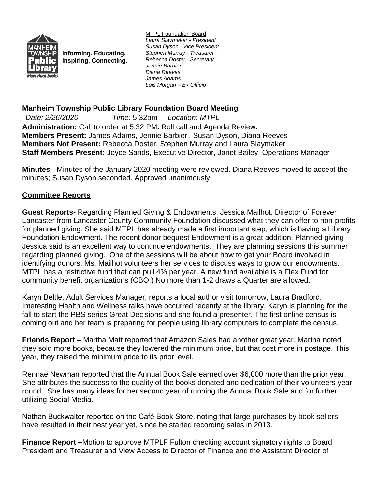

**Informing. Educating. Inspiring. Connecting.** MTPL Foundation Board *Laura Slaymaker - President Susan Dyson –Vice President Stephen Murray - Treasurer Rebecca Doster –Secretary Jennie Barbieri Diana Reeves James Adams Lois Morgan – Ex Officio*

## **Manheim Township Public Library Foundation Board Meeting**

*Date: 2/26/2020 Time:* 5:32pm *Location: MTPL* **Administration:** Call to order at 5:32 PM**.** Roll call and Agenda Review**. Members Present:** James Adams, Jennie Barbieri, Susan Dyson, Diana Reeves **Members Not Present:** Rebecca Doster, Stephen Murray and Laura Slaymaker **Staff Members Present:** Joyce Sands, Executive Director, Janet Bailey, Operations Manager

**Minutes** - Minutes of the January 2020 meeting were reviewed. Diana Reeves moved to accept the minutes; Susan Dyson seconded. Approved unanimously.

## **Committee Reports**

**Guest Reports-** Regarding Planned Giving & Endowments, Jessica Mailhot, Director of Forever Lancaster from Lancaster County Community Foundation discussed what they can offer to non-profits for planned giving. She said MTPL has already made a first important step, which is having a Library Foundation Endowment. The recent donor bequest Endowment is a great addition. Planned giving Jessica said is an excellent way to continue endowments. They are planning sessions this summer regarding planned giving. One of the sessions will be about how to get your Board involved in identifying donors. Ms. Mailhot volunteers her services to discuss ways to grow our endowments. MTPL has a restrictive fund that can pull 4% per year. A new fund available is a Flex Fund for community benefit organizations (CBO.) No more than 1-2 draws a Quarter are allowed.

Karyn Beltle, Adult Services Manager, reports a local author visit tomorrow, Laura Bradford. Interesting Health and Wellness talks have occurred recently at the library. Karyn is planning for the fall to start the PBS series Great Decisions and she found a presenter. The first online census is coming out and her team is preparing for people using library computers to complete the census.

**Friends Report –** Martha Matt reported that Amazon Sales had another great year. Martha noted they sold more books, because they lowered the minimum price, but that cost more in postage. This year, they raised the minimum price to its prior level.

Rennae Newman reported that the Annual Book Sale earned over \$6,000 more than the prior year. She attributes the success to the quality of the books donated and dedication of their volunteers year round. She has many ideas for her second year of running the Annual Book Sale and for further utilizing Social Media.

Nathan Buckwalter reported on the Café Book Store, noting that large purchases by book sellers have resulted in their best year yet, since he started recording sales in 2013.

**Finance Report –**Motion to approve MTPLF Fulton checking account signatory rights to Board President and Treasurer and View Access to Director of Finance and the Assistant Director of